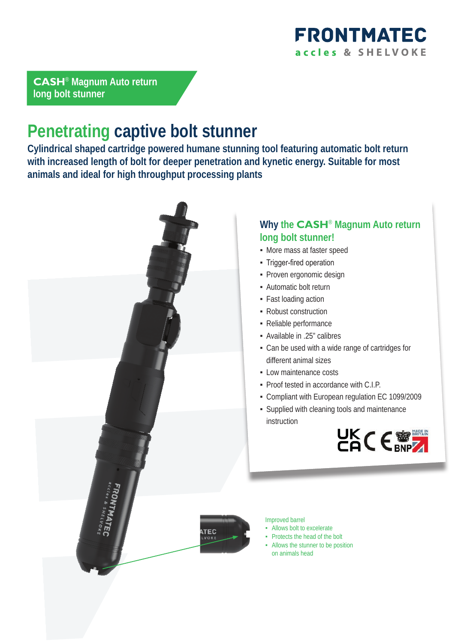

**CASH**® **Magnum Auto return long bolt stunner**

# **Penetrating captive bolt stunner**

**Cylindrical shaped cartridge powered humane stunning tool featuring automatic bolt return with increased length of bolt for deeper penetration and kynetic energy. Suitable for most animals and ideal for high throughput processing plants**



### **Why the CASH**® **Magnum Auto return long bolt stunner!**

- More mass at faster speed
- **Trigger-fired operation**
- Proven ergonomic design
- **-** Automatic bolt return
- Fast loading action
- Robust construction
- Reliable performance
- Available in .25" calibres
- Can be used with a wide range of cartridges for different animal sizes
- **-** Low maintenance costs
- Proof tested in accordance with C.I.P.
- Compliant with European regulation EC 1099/2009
- Supplied with cleaning tools and maintenance instruction



Improved barrel

- Allows bolt to excelerate
- Protects the head of the bolt
- Allows the stunner to be position on animals head